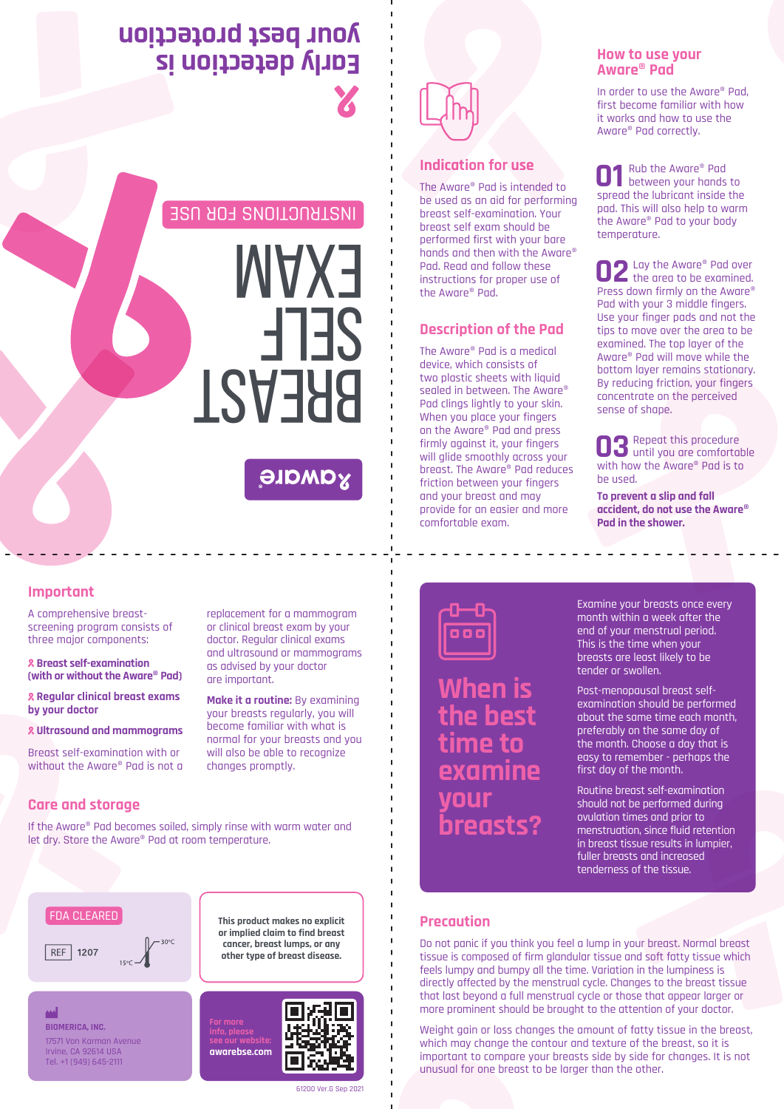## **Early detection is your best protection**

INSTRUCTIONS FOR USE

# **BREAST** self EXAM

### **AQWQIG**



#### **Indication for use**

The Aware® Pad is intended to be used as an aid for performing breast self-examination. Your breast self exam should be performed first with your bare hands and then with the Aware® Pad. Read and follow these instructions for proper use of the Aware® Pad.

#### **Description of the Pad**

The Aware® Pad is a medical device, which consists of two plastic sheets with liquid sealed in between. The Aware® Pad clings lightly to your skin. When you place your fingers on the Aware® Pad and press firmly against it, your fingers will glide smoothly across your breast. The Aware® Pad reduces friction between your fingers and your breast and may provide for an easier and more comfortable exam.

#### **How to use your Aware® Pad**

In order to use the Aware® Pad, first become familiar with how it works and how to use the Aware® Pad correctly.

Rub the Aware® Pad **01** Rub the Aware® Pad<br>between your hands to<br>spread the lubricant inside the spread the lubricant inside the pad. This will also help to warm the Aware® Pad to your body temperature.

**C** Lay the Aware® Pad over **02** Lay the Aware® Pad over<br>the area to be examined. Press down firmly on the Aware® Pad with your 3 middle fingers. Use your finger pads and not the tips to move over the area to be examined. The top layer of the Aware® Pad will move while the bottom layer remains stationary. By reducing friction, your fingers concentrate on the perceived sense of shape.

Repeat this procedure **03** Repeat this procedure<br>with bow the Aware<sup>®</sup> Pad is to with how the Aware® Pad is to be used.

**To prevent a slip and fall accident, do not use the Aware® Pad in the shower.**

#### **Important**

A comprehensive breastscreening program consists of three major components:

 **Breast self-examination (with or without the Aware® Pad)**

 **Regular clinical breast exams by your doctor**

 **Ultrasound and mammograms**

Breast self-examination with or without the Aware® Pad is not a

#### **Care and storage**

If the Aware® Pad becomes soiled, simply rinse with warm water and let dry. Store the Aware® Pad at room temperature.



#### ₩

**BIOMERICA, INC.** 17571 Von Karman Avenue Irvine, CA 92614 USA Tel. +1 (949) 645-2111

replacement for a mammogram or clinical breast exam by your doctor. Regular clinical exams and ultrasound or mammograms as advised by your doctor are important.

**Make it a routine:** By examining your breasts regularly, you will become familiar with what is normal for your breasts and you will also be able to recognize changes promptly.



**When is the best time to examine your breasts?** Examine your breasts once every month within a week after the end of your menstrual period. This is the time when your breasts are least likely to be tender or swollen.

Post-menopausal breast selfexamination should be performed about the same time each month, preferably on the same day of the month. Choose a day that is easy to remember - perhaps the first day of the month.

Routine breast self-examination should not be performed during ovulation times and prior to menstruation, since fluid retention in breast tissue results in lumpier, fuller breasts and increased tenderness of the tissue.

#### **Precaution**

Do not panic if you think you feel a lump in your breast. Normal breast tissue is composed of firm glandular tissue and soft fatty tissue which feels lumpy and bumpy all the time. Variation in the lumpiness is directly affected by the menstrual cycle. Changes to the breast tissue that last beyond a full menstrual cycle or those that appear larger or more prominent should be brought to the attention of your doctor.

Weight gain or loss changes the amount of fatty tissue in the breast, which may change the contour and texture of the breast, so it is important to compare your breasts side by side for changes. It is not unusual for one breast to be larger than the other.

**cancer, breast lumps, or any other type of breast disease.**

**info, please**

**This product makes no explicit or implied claim to find breast**